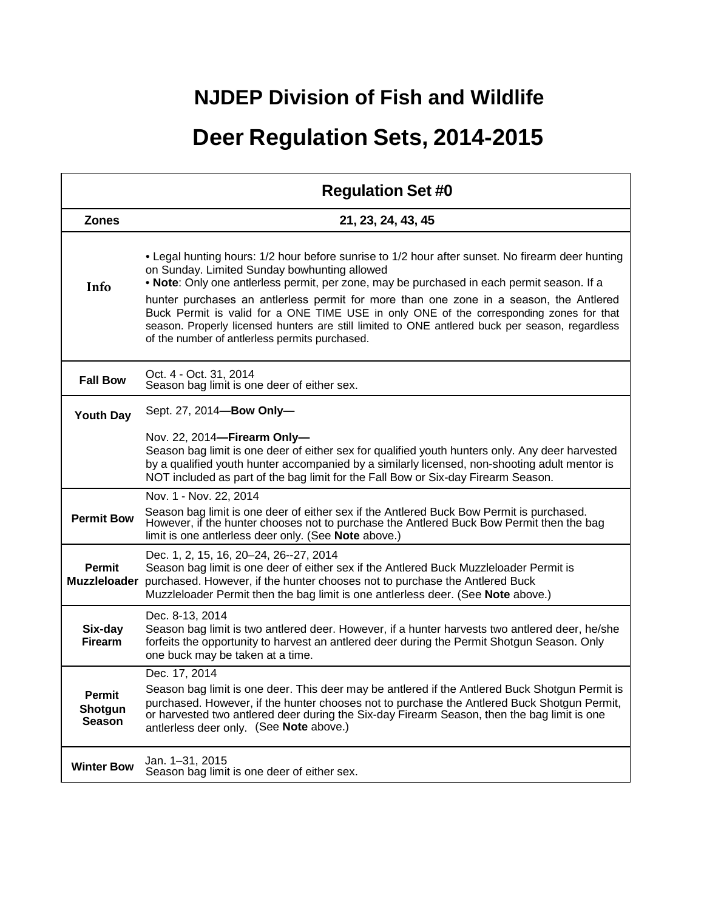## **NJDEP Division of Fish and Wildlife**

## **Deer Regulation Sets, 2014-2015**

|                                      | <b>Regulation Set #0</b>                                                                                                                                                                                                                                                                                                                                                                                                                                                                                                                                                                 |
|--------------------------------------|------------------------------------------------------------------------------------------------------------------------------------------------------------------------------------------------------------------------------------------------------------------------------------------------------------------------------------------------------------------------------------------------------------------------------------------------------------------------------------------------------------------------------------------------------------------------------------------|
| <b>Zones</b>                         | 21, 23, 24, 43, 45                                                                                                                                                                                                                                                                                                                                                                                                                                                                                                                                                                       |
| Info                                 | . Legal hunting hours: 1/2 hour before sunrise to 1/2 hour after sunset. No firearm deer hunting<br>on Sunday. Limited Sunday bowhunting allowed<br>. Note: Only one antierless permit, per zone, may be purchased in each permit season. If a<br>hunter purchases an antierless permit for more than one zone in a season, the Antiered<br>Buck Permit is valid for a ONE TIME USE in only ONE of the corresponding zones for that<br>season. Properly licensed hunters are still limited to ONE antlered buck per season, regardless<br>of the number of antierless permits purchased. |
| <b>Fall Bow</b>                      | Oct. 4 - Oct. 31, 2014<br>Season bag limit is one deer of either sex.                                                                                                                                                                                                                                                                                                                                                                                                                                                                                                                    |
| <b>Youth Day</b>                     | Sept. 27, 2014-Bow Only-                                                                                                                                                                                                                                                                                                                                                                                                                                                                                                                                                                 |
|                                      | Nov. 22, 2014-Firearm Only-<br>Season bag limit is one deer of either sex for qualified youth hunters only. Any deer harvested<br>by a qualified youth hunter accompanied by a similarly licensed, non-shooting adult mentor is<br>NOT included as part of the bag limit for the Fall Bow or Six-day Firearm Season.                                                                                                                                                                                                                                                                     |
| <b>Permit Bow</b>                    | Nov. 1 - Nov. 22, 2014<br>Season bag limit is one deer of either sex if the Antlered Buck Bow Permit is purchased.<br>However, if the hunter chooses not to purchase the Antlered Buck Bow Permit then the bag<br>limit is one antlerless deer only. (See Note above.)                                                                                                                                                                                                                                                                                                                   |
| <b>Permit</b><br><b>Muzzleloader</b> | Dec. 1, 2, 15, 16, 20-24, 26--27, 2014<br>Season bag limit is one deer of either sex if the Antlered Buck Muzzleloader Permit is<br>purchased. However, if the hunter chooses not to purchase the Antlered Buck<br>Muzzleloader Permit then the bag limit is one antlerless deer. (See Note above.)                                                                                                                                                                                                                                                                                      |
| Six-day<br><b>Firearm</b>            | Dec. 8-13, 2014<br>Season bag limit is two antlered deer. However, if a hunter harvests two antlered deer, he/she<br>forfeits the opportunity to harvest an antlered deer during the Permit Shotgun Season. Only<br>one buck may be taken at a time.                                                                                                                                                                                                                                                                                                                                     |
| Permit<br>Shotgun<br><b>Season</b>   | Dec. 17, 2014<br>Season bag limit is one deer. This deer may be antlered if the Antlered Buck Shotgun Permit is<br>purchased. However, if the hunter chooses not to purchase the Antlered Buck Shotgun Permit,<br>or harvested two antlered deer during the Six-day Firearm Season, then the bag limit is one<br>antlerless deer only. (See Note above.)                                                                                                                                                                                                                                 |
| <b>Winter Bow</b>                    | Jan. 1-31, 2015<br>Season bag limit is one deer of either sex.                                                                                                                                                                                                                                                                                                                                                                                                                                                                                                                           |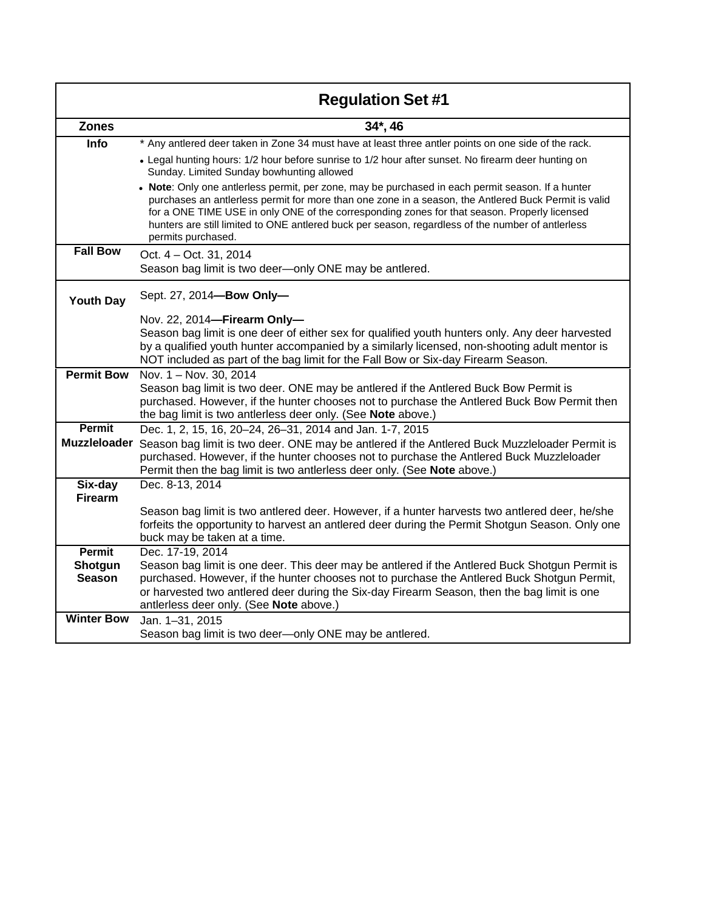|                     | <b>Regulation Set #1</b>                                                                                                                                                                                                                                                                                                                                                                                                             |
|---------------------|--------------------------------------------------------------------------------------------------------------------------------------------------------------------------------------------------------------------------------------------------------------------------------------------------------------------------------------------------------------------------------------------------------------------------------------|
| <b>Zones</b>        | 34*, 46                                                                                                                                                                                                                                                                                                                                                                                                                              |
| Info                | * Any antlered deer taken in Zone 34 must have at least three antler points on one side of the rack.                                                                                                                                                                                                                                                                                                                                 |
|                     | • Legal hunting hours: 1/2 hour before sunrise to 1/2 hour after sunset. No firearm deer hunting on<br>Sunday. Limited Sunday bowhunting allowed                                                                                                                                                                                                                                                                                     |
|                     | . Note: Only one antierless permit, per zone, may be purchased in each permit season. If a hunter<br>purchases an antlerless permit for more than one zone in a season, the Antlered Buck Permit is valid<br>for a ONE TIME USE in only ONE of the corresponding zones for that season. Properly licensed<br>hunters are still limited to ONE antlered buck per season, regardless of the number of antlerless<br>permits purchased. |
| <b>Fall Bow</b>     | Oct. 4 – Oct. 31, 2014<br>Season bag limit is two deer-only ONE may be antlered.                                                                                                                                                                                                                                                                                                                                                     |
| <b>Youth Day</b>    | Sept. 27, 2014-Bow Only-                                                                                                                                                                                                                                                                                                                                                                                                             |
|                     | Nov. 22, 2014-Firearm Only-                                                                                                                                                                                                                                                                                                                                                                                                          |
|                     | Season bag limit is one deer of either sex for qualified youth hunters only. Any deer harvested                                                                                                                                                                                                                                                                                                                                      |
|                     | by a qualified youth hunter accompanied by a similarly licensed, non-shooting adult mentor is<br>NOT included as part of the bag limit for the Fall Bow or Six-day Firearm Season.                                                                                                                                                                                                                                                   |
| <b>Permit Bow</b>   | Nov. 1 - Nov. 30, 2014                                                                                                                                                                                                                                                                                                                                                                                                               |
|                     | Season bag limit is two deer. ONE may be antlered if the Antlered Buck Bow Permit is<br>purchased. However, if the hunter chooses not to purchase the Antlered Buck Bow Permit then<br>the bag limit is two antlerless deer only. (See Note above.)                                                                                                                                                                                  |
| <b>Permit</b>       | Dec. 1, 2, 15, 16, 20-24, 26-31, 2014 and Jan. 1-7, 2015                                                                                                                                                                                                                                                                                                                                                                             |
| <b>Muzzleloader</b> | Season bag limit is two deer. ONE may be antlered if the Antlered Buck Muzzleloader Permit is<br>purchased. However, if the hunter chooses not to purchase the Antlered Buck Muzzleloader<br>Permit then the bag limit is two antlerless deer only. (See Note above.)                                                                                                                                                                |
| Six-day             | Dec. 8-13, 2014                                                                                                                                                                                                                                                                                                                                                                                                                      |
| <b>Firearm</b>      | Season bag limit is two antlered deer. However, if a hunter harvests two antlered deer, he/she                                                                                                                                                                                                                                                                                                                                       |
|                     | forfeits the opportunity to harvest an antlered deer during the Permit Shotgun Season. Only one                                                                                                                                                                                                                                                                                                                                      |
|                     | buck may be taken at a time.                                                                                                                                                                                                                                                                                                                                                                                                         |
| <b>Permit</b>       | Dec. 17-19, 2014                                                                                                                                                                                                                                                                                                                                                                                                                     |
| Shotgun             | Season bag limit is one deer. This deer may be antlered if the Antlered Buck Shotgun Permit is                                                                                                                                                                                                                                                                                                                                       |
| <b>Season</b>       | purchased. However, if the hunter chooses not to purchase the Antlered Buck Shotgun Permit,<br>or harvested two antlered deer during the Six-day Firearm Season, then the bag limit is one<br>antlerless deer only. (See Note above.)                                                                                                                                                                                                |
| <b>Winter Bow</b>   | Jan. 1-31, 2015                                                                                                                                                                                                                                                                                                                                                                                                                      |
|                     | Season bag limit is two deer-only ONE may be antlered.                                                                                                                                                                                                                                                                                                                                                                               |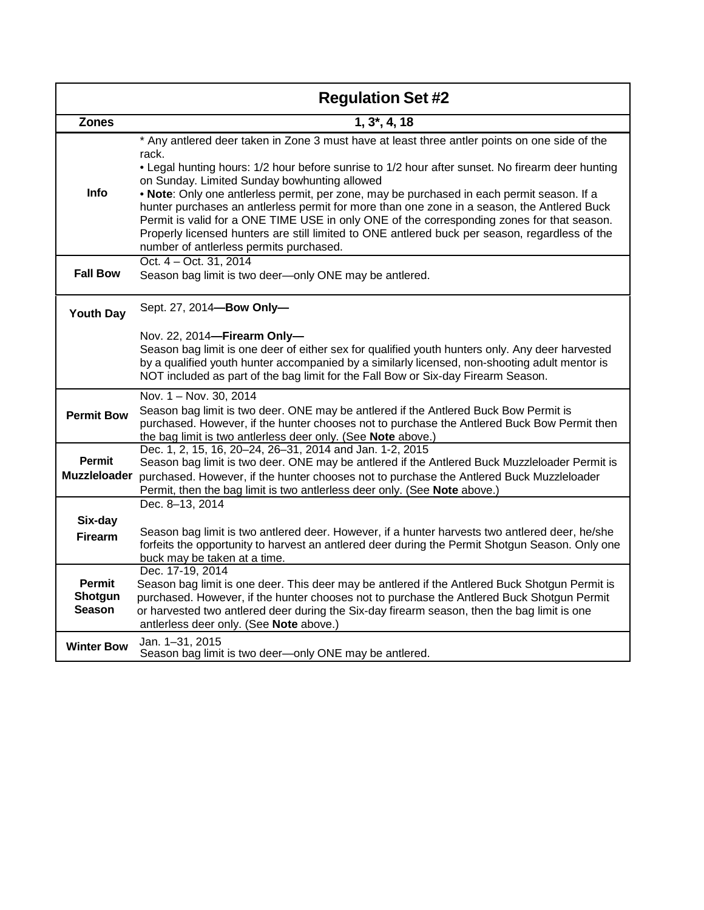|                                           | <b>Regulation Set #2</b>                                                                                                                                                                                                                                                                                                                                                                                                                                                                                                                                                                                                                                                                           |
|-------------------------------------------|----------------------------------------------------------------------------------------------------------------------------------------------------------------------------------------------------------------------------------------------------------------------------------------------------------------------------------------------------------------------------------------------------------------------------------------------------------------------------------------------------------------------------------------------------------------------------------------------------------------------------------------------------------------------------------------------------|
| <b>Zones</b>                              | 1, 3,4, 18                                                                                                                                                                                                                                                                                                                                                                                                                                                                                                                                                                                                                                                                                         |
| <b>Info</b>                               | * Any antlered deer taken in Zone 3 must have at least three antler points on one side of the<br>rack.<br>• Legal hunting hours: 1/2 hour before sunrise to 1/2 hour after sunset. No firearm deer hunting<br>on Sunday. Limited Sunday bowhunting allowed<br>. Note: Only one antierless permit, per zone, may be purchased in each permit season. If a<br>hunter purchases an antlerless permit for more than one zone in a season, the Antlered Buck<br>Permit is valid for a ONE TIME USE in only ONE of the corresponding zones for that season.<br>Properly licensed hunters are still limited to ONE antlered buck per season, regardless of the<br>number of antlerless permits purchased. |
| <b>Fall Bow</b>                           | Oct. 4 – Oct. 31, 2014<br>Season bag limit is two deer-only ONE may be antlered.                                                                                                                                                                                                                                                                                                                                                                                                                                                                                                                                                                                                                   |
| <b>Youth Day</b>                          | Sept. 27, 2014-Bow Only-                                                                                                                                                                                                                                                                                                                                                                                                                                                                                                                                                                                                                                                                           |
|                                           | Nov. 22, 2014-Firearm Only-<br>Season bag limit is one deer of either sex for qualified youth hunters only. Any deer harvested<br>by a qualified youth hunter accompanied by a similarly licensed, non-shooting adult mentor is<br>NOT included as part of the bag limit for the Fall Bow or Six-day Firearm Season.                                                                                                                                                                                                                                                                                                                                                                               |
| <b>Permit Bow</b>                         | Nov. $1 -$ Nov. 30, 2014<br>Season bag limit is two deer. ONE may be antlered if the Antlered Buck Bow Permit is<br>purchased. However, if the hunter chooses not to purchase the Antlered Buck Bow Permit then<br>the bag limit is two antlerless deer only. (See Note above.)                                                                                                                                                                                                                                                                                                                                                                                                                    |
| <b>Permit</b>                             | Dec. 1, 2, 15, 16, 20-24, 26-31, 2014 and Jan. 1-2, 2015<br>Season bag limit is two deer. ONE may be antlered if the Antlered Buck Muzzleloader Permit is<br>Muzzleloader purchased. However, if the hunter chooses not to purchase the Antlered Buck Muzzleloader<br>Permit, then the bag limit is two antlerless deer only. (See Note above.)                                                                                                                                                                                                                                                                                                                                                    |
| Six-day<br><b>Firearm</b>                 | Dec. 8-13, 2014<br>Season bag limit is two antlered deer. However, if a hunter harvests two antlered deer, he/she<br>forfeits the opportunity to harvest an antlered deer during the Permit Shotgun Season. Only one<br>buck may be taken at a time.                                                                                                                                                                                                                                                                                                                                                                                                                                               |
| <b>Permit</b><br>Shotgun<br><b>Season</b> | Dec. 17-19, 2014<br>Season bag limit is one deer. This deer may be antlered if the Antlered Buck Shotgun Permit is<br>purchased. However, if the hunter chooses not to purchase the Antlered Buck Shotgun Permit<br>or harvested two antlered deer during the Six-day firearm season, then the bag limit is one<br>antlerless deer only. (See Note above.)                                                                                                                                                                                                                                                                                                                                         |
| <b>Winter Bow</b>                         | Jan. 1-31, 2015<br>Season bag limit is two deer-only ONE may be antlered.                                                                                                                                                                                                                                                                                                                                                                                                                                                                                                                                                                                                                          |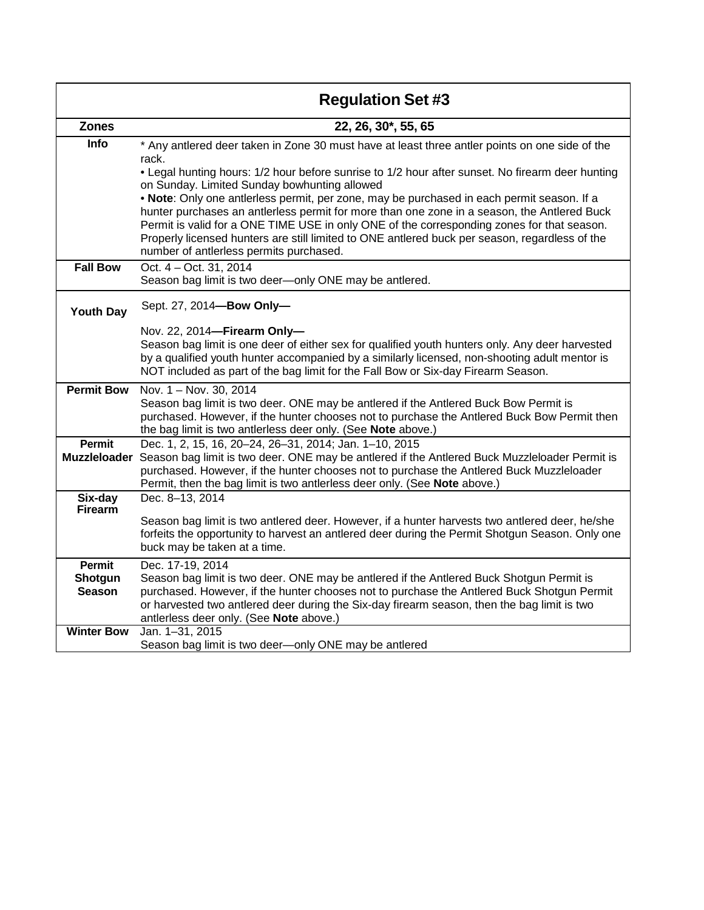|                                      | <b>Regulation Set #3</b>                                                                                                                                                                                                                                                                                                                                                                                                             |
|--------------------------------------|--------------------------------------------------------------------------------------------------------------------------------------------------------------------------------------------------------------------------------------------------------------------------------------------------------------------------------------------------------------------------------------------------------------------------------------|
| <b>Zones</b>                         | 22, 26, 30*, 55, 65                                                                                                                                                                                                                                                                                                                                                                                                                  |
| Info                                 | * Any antlered deer taken in Zone 30 must have at least three antler points on one side of the<br>rack.                                                                                                                                                                                                                                                                                                                              |
|                                      | . Legal hunting hours: 1/2 hour before sunrise to 1/2 hour after sunset. No firearm deer hunting<br>on Sunday. Limited Sunday bowhunting allowed                                                                                                                                                                                                                                                                                     |
|                                      | . Note: Only one antlerless permit, per zone, may be purchased in each permit season. If a<br>hunter purchases an antierless permit for more than one zone in a season, the Antlered Buck<br>Permit is valid for a ONE TIME USE in only ONE of the corresponding zones for that season.<br>Properly licensed hunters are still limited to ONE antlered buck per season, regardless of the<br>number of antlerless permits purchased. |
| <b>Fall Bow</b>                      | Oct. 4 - Oct. 31, 2014<br>Season bag limit is two deer-only ONE may be antlered.                                                                                                                                                                                                                                                                                                                                                     |
| <b>Youth Day</b>                     | Sept. 27, 2014-Bow Only-                                                                                                                                                                                                                                                                                                                                                                                                             |
|                                      | Nov. 22, 2014-Firearm Only-<br>Season bag limit is one deer of either sex for qualified youth hunters only. Any deer harvested<br>by a qualified youth hunter accompanied by a similarly licensed, non-shooting adult mentor is<br>NOT included as part of the bag limit for the Fall Bow or Six-day Firearm Season.                                                                                                                 |
| <b>Permit Bow</b>                    | Nov. 1 - Nov. 30, 2014                                                                                                                                                                                                                                                                                                                                                                                                               |
|                                      | Season bag limit is two deer. ONE may be antlered if the Antlered Buck Bow Permit is<br>purchased. However, if the hunter chooses not to purchase the Antlered Buck Bow Permit then<br>the bag limit is two antlerless deer only. (See Note above.)                                                                                                                                                                                  |
| <b>Permit</b><br><b>Muzzleloader</b> | Dec. 1, 2, 15, 16, 20-24, 26-31, 2014; Jan. 1-10, 2015<br>Season bag limit is two deer. ONE may be antlered if the Antlered Buck Muzzleloader Permit is                                                                                                                                                                                                                                                                              |
|                                      | purchased. However, if the hunter chooses not to purchase the Antlered Buck Muzzleloader<br>Permit, then the bag limit is two antlerless deer only. (See Note above.)                                                                                                                                                                                                                                                                |
| Six-day<br><b>Firearm</b>            | Dec. 8-13, 2014                                                                                                                                                                                                                                                                                                                                                                                                                      |
|                                      | Season bag limit is two antlered deer. However, if a hunter harvests two antlered deer, he/she<br>forfeits the opportunity to harvest an antlered deer during the Permit Shotgun Season. Only one<br>buck may be taken at a time.                                                                                                                                                                                                    |
| Permit<br>Shotgun                    | Dec. 17-19, 2014<br>Season bag limit is two deer. ONE may be antlered if the Antlered Buck Shotgun Permit is                                                                                                                                                                                                                                                                                                                         |
| <b>Season</b>                        | purchased. However, if the hunter chooses not to purchase the Antlered Buck Shotgun Permit<br>or harvested two antlered deer during the Six-day firearm season, then the bag limit is two<br>antlerless deer only. (See Note above.)                                                                                                                                                                                                 |
| <b>Winter Bow</b>                    | Jan. 1-31, 2015<br>Season bag limit is two deer-only ONE may be antlered                                                                                                                                                                                                                                                                                                                                                             |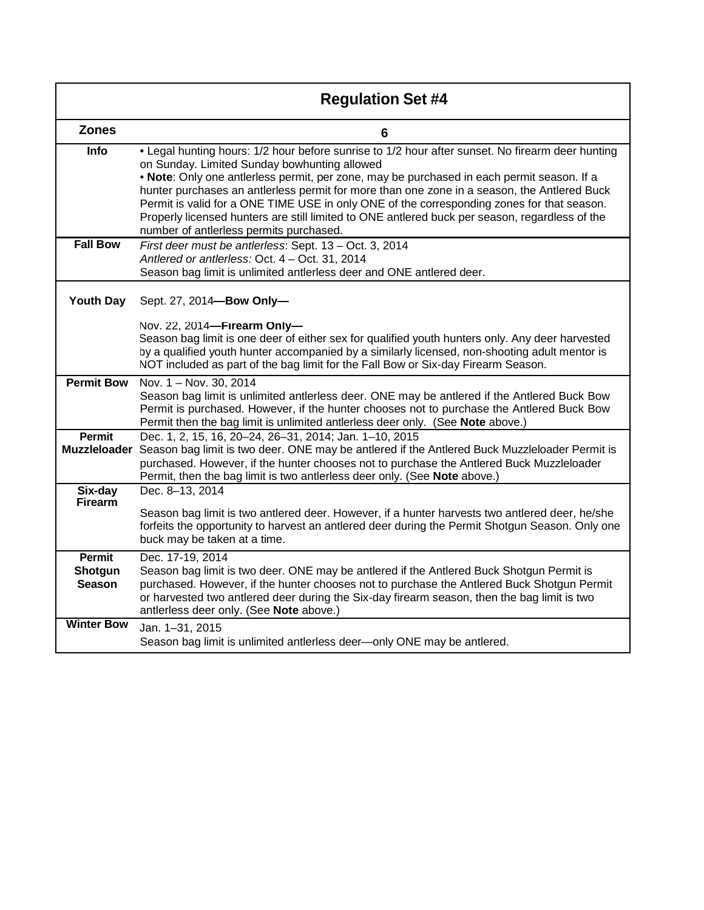|                                           | <b>Regulation Set #4</b>                                                                                                                                                                                                                                                                                                                                                                                                                                                                                                                                                                 |
|-------------------------------------------|------------------------------------------------------------------------------------------------------------------------------------------------------------------------------------------------------------------------------------------------------------------------------------------------------------------------------------------------------------------------------------------------------------------------------------------------------------------------------------------------------------------------------------------------------------------------------------------|
| <b>Zones</b>                              | 6                                                                                                                                                                                                                                                                                                                                                                                                                                                                                                                                                                                        |
| <b>Info</b>                               | . Legal hunting hours: 1/2 hour before sunrise to 1/2 hour after sunset. No firearm deer hunting<br>on Sunday. Limited Sunday bowhunting allowed<br>. Note: Only one antlerless permit, per zone, may be purchased in each permit season. If a<br>hunter purchases an antlerless permit for more than one zone in a season, the Antlered Buck<br>Permit is valid for a ONE TIME USE in only ONE of the corresponding zones for that season.<br>Properly licensed hunters are still limited to ONE antlered buck per season, regardless of the<br>number of antlerless permits purchased. |
| <b>Fall Bow</b>                           | First deer must be antlerless: Sept. 13 - Oct. 3, 2014<br>Antlered or antlerless: Oct. 4 - Oct. 31, 2014<br>Season bag limit is unlimited antlerless deer and ONE antlered deer.                                                                                                                                                                                                                                                                                                                                                                                                         |
| <b>Youth Day</b>                          | Sept. 27, 2014-Bow Only-<br>Nov. 22, 2014-Firearm Only-<br>Season bag limit is one deer of either sex for qualified youth hunters only. Any deer harvested<br>by a qualified youth hunter accompanied by a similarly licensed, non-shooting adult mentor is<br>NOT included as part of the bag limit for the Fall Bow or Six-day Firearm Season.                                                                                                                                                                                                                                         |
| <b>Permit Bow</b>                         | Nov. 1 - Nov. 30, 2014<br>Season bag limit is unlimited antlerless deer. ONE may be antlered if the Antlered Buck Bow<br>Permit is purchased. However, if the hunter chooses not to purchase the Antlered Buck Bow<br>Permit then the bag limit is unlimited antlerless deer only. (See Note above.)                                                                                                                                                                                                                                                                                     |
| <b>Permit</b>                             | Dec. 1, 2, 15, 16, 20-24, 26-31, 2014; Jan. 1-10, 2015<br>Muzzleloader Season bag limit is two deer. ONE may be antlered if the Antlered Buck Muzzleloader Permit is<br>purchased. However, if the hunter chooses not to purchase the Antlered Buck Muzzleloader<br>Permit, then the bag limit is two antlerless deer only. (See Note above.)                                                                                                                                                                                                                                            |
| Six-day<br><b>Firearm</b>                 | Dec. 8-13, 2014<br>Season bag limit is two antlered deer. However, if a hunter harvests two antlered deer, he/she<br>forfeits the opportunity to harvest an antlered deer during the Permit Shotgun Season. Only one<br>buck may be taken at a time.                                                                                                                                                                                                                                                                                                                                     |
| <b>Permit</b><br>Shotgun<br><b>Season</b> | Dec. 17-19, 2014<br>Season bag limit is two deer. ONE may be antlered if the Antlered Buck Shotgun Permit is<br>purchased. However, if the hunter chooses not to purchase the Antlered Buck Shotgun Permit<br>or harvested two antlered deer during the Six-day firearm season, then the bag limit is two<br>antlerless deer only. (See Note above.)                                                                                                                                                                                                                                     |
| <b>Winter Bow</b>                         | Jan. 1-31, 2015<br>Season bag limit is unlimited antlerless deer-only ONE may be antlered.                                                                                                                                                                                                                                                                                                                                                                                                                                                                                               |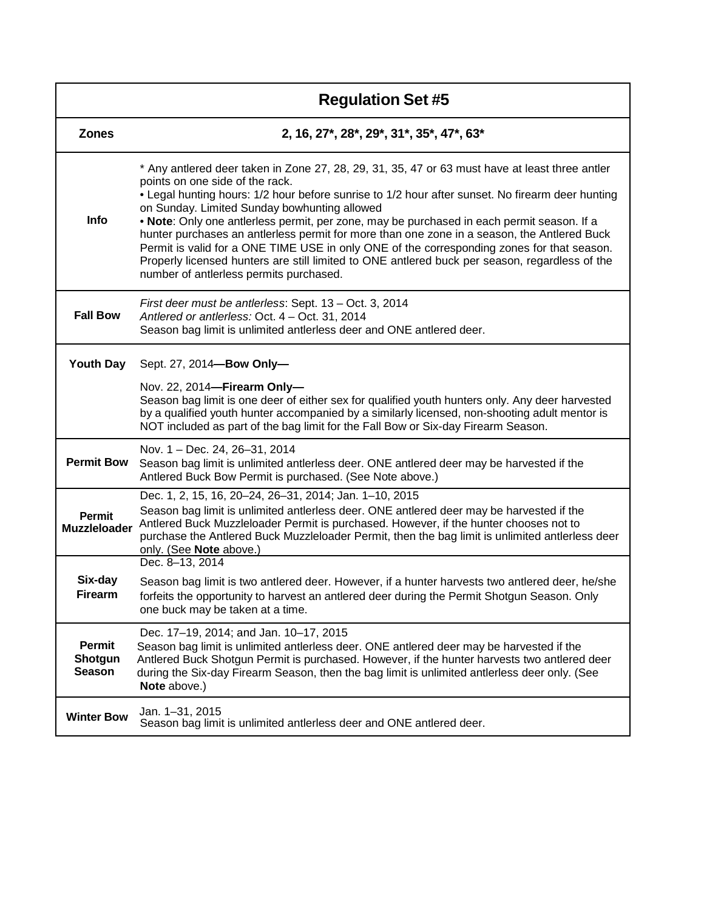|                                           | <b>Regulation Set #5</b>                                                                                                                                                                                                                                                                                                                                                                                                                                                                                                                                                                                                                                                                                                      |
|-------------------------------------------|-------------------------------------------------------------------------------------------------------------------------------------------------------------------------------------------------------------------------------------------------------------------------------------------------------------------------------------------------------------------------------------------------------------------------------------------------------------------------------------------------------------------------------------------------------------------------------------------------------------------------------------------------------------------------------------------------------------------------------|
| <b>Zones</b>                              | 2, 16, 27*, 28*, 29*, 31*, 35*, 47*, 63*                                                                                                                                                                                                                                                                                                                                                                                                                                                                                                                                                                                                                                                                                      |
| <b>Info</b>                               | * Any antlered deer taken in Zone 27, 28, 29, 31, 35, 47 or 63 must have at least three antler<br>points on one side of the rack.<br>• Legal hunting hours: 1/2 hour before sunrise to 1/2 hour after sunset. No firearm deer hunting<br>on Sunday. Limited Sunday bowhunting allowed<br>. Note: Only one antlerless permit, per zone, may be purchased in each permit season. If a<br>hunter purchases an antierless permit for more than one zone in a season, the Antlered Buck<br>Permit is valid for a ONE TIME USE in only ONE of the corresponding zones for that season.<br>Properly licensed hunters are still limited to ONE antlered buck per season, regardless of the<br>number of antlerless permits purchased. |
| <b>Fall Bow</b>                           | First deer must be antlerless: Sept. 13 – Oct. 3, 2014<br>Antlered or antlerless: Oct. 4 - Oct. 31, 2014<br>Season bag limit is unlimited antlerless deer and ONE antlered deer.                                                                                                                                                                                                                                                                                                                                                                                                                                                                                                                                              |
| <b>Youth Day</b>                          | Sept. 27, 2014-Bow Only-                                                                                                                                                                                                                                                                                                                                                                                                                                                                                                                                                                                                                                                                                                      |
|                                           | Nov. 22, 2014-Firearm Only-<br>Season bag limit is one deer of either sex for qualified youth hunters only. Any deer harvested<br>by a qualified youth hunter accompanied by a similarly licensed, non-shooting adult mentor is<br>NOT included as part of the bag limit for the Fall Bow or Six-day Firearm Season.                                                                                                                                                                                                                                                                                                                                                                                                          |
| <b>Permit Bow</b>                         | Nov. 1 - Dec. 24, 26-31, 2014<br>Season bag limit is unlimited antlerless deer. ONE antlered deer may be harvested if the<br>Antlered Buck Bow Permit is purchased. (See Note above.)                                                                                                                                                                                                                                                                                                                                                                                                                                                                                                                                         |
| <b>Permit</b><br><b>Muzzleloader</b>      | Dec. 1, 2, 15, 16, 20-24, 26-31, 2014; Jan. 1-10, 2015<br>Season bag limit is unlimited antlerless deer. ONE antlered deer may be harvested if the<br>Antlered Buck Muzzleloader Permit is purchased. However, if the hunter chooses not to<br>purchase the Antlered Buck Muzzleloader Permit, then the bag limit is unlimited antlerless deer<br>only. (See Note above.)                                                                                                                                                                                                                                                                                                                                                     |
| Six-day<br><b>Firearm</b>                 | Dec. 8-13, 2014<br>Season bag limit is two antlered deer. However, if a hunter harvests two antlered deer, he/she<br>forfeits the opportunity to harvest an antlered deer during the Permit Shotgun Season. Only<br>one buck may be taken at a time.                                                                                                                                                                                                                                                                                                                                                                                                                                                                          |
| <b>Permit</b><br>Shotgun<br><b>Season</b> | Dec. 17-19, 2014; and Jan. 10-17, 2015<br>Season bag limit is unlimited antlerless deer. ONE antlered deer may be harvested if the<br>Antlered Buck Shotgun Permit is purchased. However, if the hunter harvests two antlered deer<br>during the Six-day Firearm Season, then the bag limit is unlimited antlerless deer only. (See<br>Note above.)                                                                                                                                                                                                                                                                                                                                                                           |
| <b>Winter Bow</b>                         | Jan. 1-31, 2015<br>Season bag limit is unlimited antierless deer and ONE antiered deer.                                                                                                                                                                                                                                                                                                                                                                                                                                                                                                                                                                                                                                       |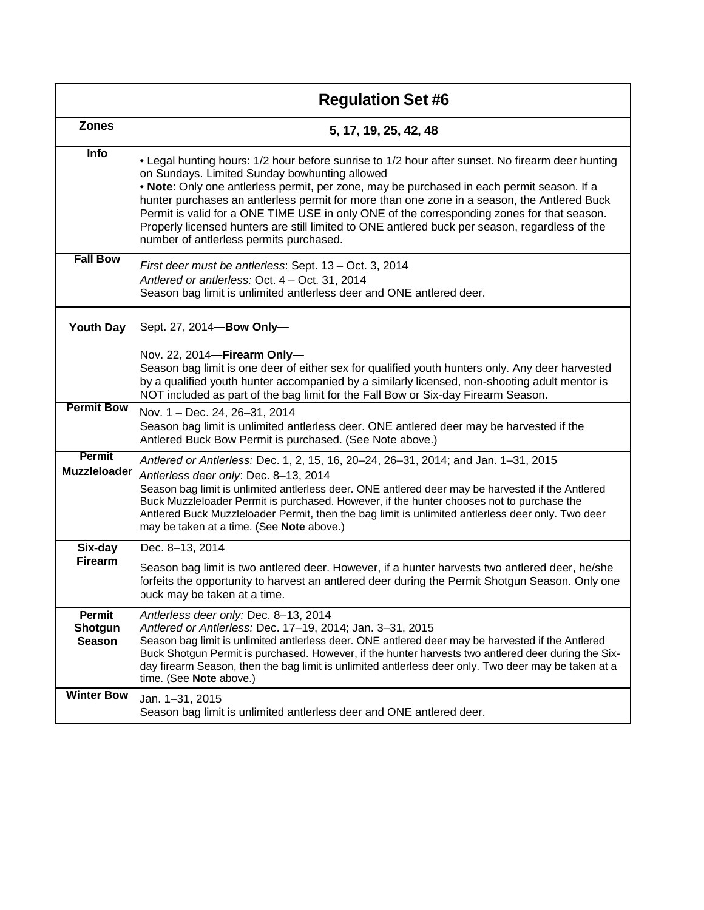|                                    | <b>Regulation Set #6</b>                                                                                                                                                                                                                                                                                                                                                                                                                                                                                                                                                                  |
|------------------------------------|-------------------------------------------------------------------------------------------------------------------------------------------------------------------------------------------------------------------------------------------------------------------------------------------------------------------------------------------------------------------------------------------------------------------------------------------------------------------------------------------------------------------------------------------------------------------------------------------|
| <b>Zones</b>                       | 5, 17, 19, 25, 42, 48                                                                                                                                                                                                                                                                                                                                                                                                                                                                                                                                                                     |
| Info                               | . Legal hunting hours: 1/2 hour before sunrise to 1/2 hour after sunset. No firearm deer hunting<br>on Sundays. Limited Sunday bowhunting allowed<br>. Note: Only one antierless permit, per zone, may be purchased in each permit season. If a<br>hunter purchases an antierless permit for more than one zone in a season, the Antlered Buck<br>Permit is valid for a ONE TIME USE in only ONE of the corresponding zones for that season.<br>Properly licensed hunters are still limited to ONE antlered buck per season, regardless of the<br>number of antierless permits purchased. |
| <b>Fall Bow</b>                    | First deer must be antlerless: Sept. 13 - Oct. 3, 2014<br>Antlered or antlerless: Oct. 4 - Oct. 31, 2014<br>Season bag limit is unlimited antlerless deer and ONE antlered deer.                                                                                                                                                                                                                                                                                                                                                                                                          |
| <b>Youth Day</b>                   | Sept. 27, 2014-Bow Only-                                                                                                                                                                                                                                                                                                                                                                                                                                                                                                                                                                  |
|                                    | Nov. 22, 2014-Firearm Only-<br>Season bag limit is one deer of either sex for qualified youth hunters only. Any deer harvested<br>by a qualified youth hunter accompanied by a similarly licensed, non-shooting adult mentor is<br>NOT included as part of the bag limit for the Fall Bow or Six-day Firearm Season.                                                                                                                                                                                                                                                                      |
| <b>Permit Bow</b>                  | Nov. 1 - Dec. 24, 26-31, 2014<br>Season bag limit is unlimited antlerless deer. ONE antlered deer may be harvested if the<br>Antlered Buck Bow Permit is purchased. (See Note above.)                                                                                                                                                                                                                                                                                                                                                                                                     |
| Permit<br><b>Muzzleloader</b>      | Antlered or Antlerless: Dec. 1, 2, 15, 16, 20-24, 26-31, 2014; and Jan. 1-31, 2015<br>Antlerless deer only: Dec. 8-13, 2014<br>Season bag limit is unlimited antlerless deer. ONE antlered deer may be harvested if the Antlered<br>Buck Muzzleloader Permit is purchased. However, if the hunter chooses not to purchase the<br>Antlered Buck Muzzleloader Permit, then the bag limit is unlimited antlerless deer only. Two deer<br>may be taken at a time. (See Note above.)                                                                                                           |
| Six-day                            | Dec. 8-13, 2014                                                                                                                                                                                                                                                                                                                                                                                                                                                                                                                                                                           |
| <b>Firearm</b>                     | Season bag limit is two antlered deer. However, if a hunter harvests two antlered deer, he/she<br>forfeits the opportunity to harvest an antlered deer during the Permit Shotgun Season. Only one<br>buck may be taken at a time.                                                                                                                                                                                                                                                                                                                                                         |
| Permit<br>Shotgun<br><b>Season</b> | Antlerless deer only: Dec. 8-13, 2014<br>Antlered or Antlerless: Dec. 17-19, 2014; Jan. 3-31, 2015<br>Season bag limit is unlimited antlerless deer. ONE antlered deer may be harvested if the Antlered<br>Buck Shotgun Permit is purchased. However, if the hunter harvests two antlered deer during the Six-<br>day firearm Season, then the bag limit is unlimited antlerless deer only. Two deer may be taken at a<br>time. (See Note above.)                                                                                                                                         |
| <b>Winter Bow</b>                  | Jan. 1-31, 2015<br>Season bag limit is unlimited antlerless deer and ONE antlered deer.                                                                                                                                                                                                                                                                                                                                                                                                                                                                                                   |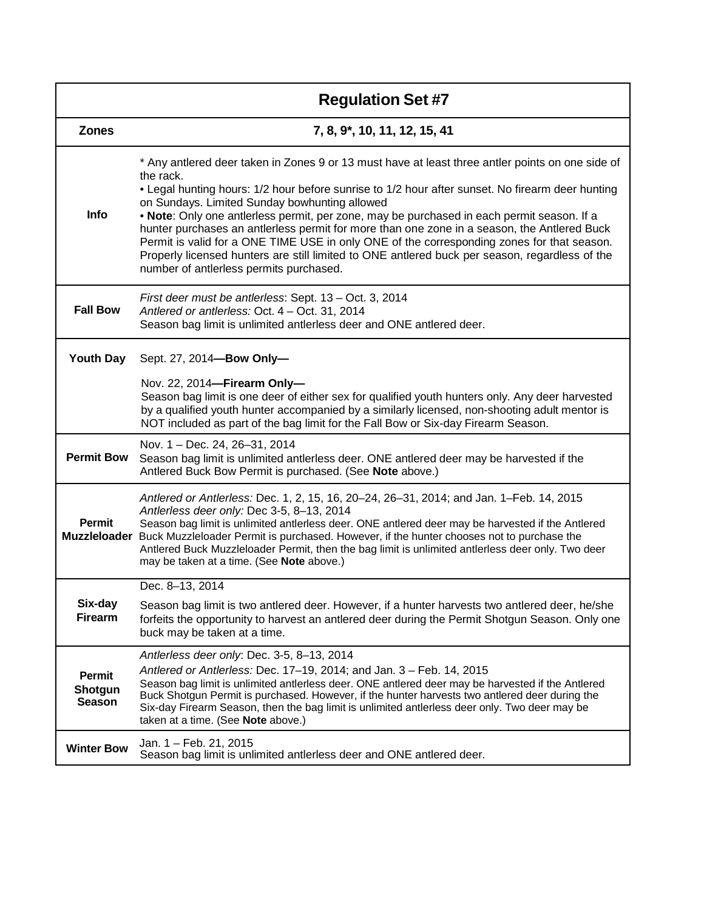|                                           | <b>Regulation Set #7</b>                                                                                                                                                                                                                                                                                                                                                                                                                                                                                                                                                                                                                                                                                   |
|-------------------------------------------|------------------------------------------------------------------------------------------------------------------------------------------------------------------------------------------------------------------------------------------------------------------------------------------------------------------------------------------------------------------------------------------------------------------------------------------------------------------------------------------------------------------------------------------------------------------------------------------------------------------------------------------------------------------------------------------------------------|
| <b>Zones</b>                              | 7, 8, 9*, 10, 11, 12, 15, 41                                                                                                                                                                                                                                                                                                                                                                                                                                                                                                                                                                                                                                                                               |
| <b>Info</b>                               | * Any antlered deer taken in Zones 9 or 13 must have at least three antler points on one side of<br>the rack.<br>• Legal hunting hours: 1/2 hour before sunrise to 1/2 hour after sunset. No firearm deer hunting<br>on Sundays. Limited Sunday bowhunting allowed<br>. Note: Only one antierless permit, per zone, may be purchased in each permit season. If a<br>hunter purchases an antierless permit for more than one zone in a season, the Antiered Buck<br>Permit is valid for a ONE TIME USE in only ONE of the corresponding zones for that season.<br>Properly licensed hunters are still limited to ONE antlered buck per season, regardless of the<br>number of antierless permits purchased. |
| <b>Fall Bow</b>                           | First deer must be antlerless: Sept. 13 – Oct. 3, 2014<br>Antlered or antlerless: Oct. 4 - Oct. 31, 2014<br>Season bag limit is unlimited antlerless deer and ONE antlered deer.                                                                                                                                                                                                                                                                                                                                                                                                                                                                                                                           |
| <b>Youth Day</b>                          | Sept. 27, 2014-Bow Only-<br>Nov. 22, 2014-Firearm Only-                                                                                                                                                                                                                                                                                                                                                                                                                                                                                                                                                                                                                                                    |
|                                           | Season bag limit is one deer of either sex for qualified youth hunters only. Any deer harvested<br>by a qualified youth hunter accompanied by a similarly licensed, non-shooting adult mentor is<br>NOT included as part of the bag limit for the Fall Bow or Six-day Firearm Season.                                                                                                                                                                                                                                                                                                                                                                                                                      |
| <b>Permit Bow</b>                         | Nov. 1 - Dec. 24, 26-31, 2014<br>Season bag limit is unlimited antlerless deer. ONE antlered deer may be harvested if the<br>Antlered Buck Bow Permit is purchased. (See Note above.)                                                                                                                                                                                                                                                                                                                                                                                                                                                                                                                      |
| Permit<br><b>Muzzleloader</b>             | Antlered or Antlerless: Dec. 1, 2, 15, 16, 20-24, 26-31, 2014; and Jan. 1-Feb. 14, 2015<br>Antlerless deer only: Dec 3-5, 8-13, 2014<br>Season bag limit is unlimited antlerless deer. ONE antlered deer may be harvested if the Antlered<br>Buck Muzzleloader Permit is purchased. However, if the hunter chooses not to purchase the<br>Antlered Buck Muzzleloader Permit, then the bag limit is unlimited antlerless deer only. Two deer<br>may be taken at a time. (See Note above.)                                                                                                                                                                                                                   |
| Six-day<br><b>Firearm</b>                 | Dec. 8-13, 2014<br>Season bag limit is two antlered deer. However, if a hunter harvests two antlered deer, he/she<br>forfeits the opportunity to harvest an antlered deer during the Permit Shotgun Season. Only one<br>buck may be taken at a time.                                                                                                                                                                                                                                                                                                                                                                                                                                                       |
| <b>Permit</b><br>Shotgun<br><b>Season</b> | Antlerless deer only: Dec. 3-5, 8-13, 2014<br>Antlered or Antlerless: Dec. 17–19, 2014; and Jan. 3 – Feb. 14, 2015<br>Season bag limit is unlimited antlerless deer. ONE antlered deer may be harvested if the Antlered<br>Buck Shotgun Permit is purchased. However, if the hunter harvests two antlered deer during the<br>Six-day Firearm Season, then the bag limit is unlimited antlerless deer only. Two deer may be<br>taken at a time. (See Note above.)                                                                                                                                                                                                                                           |
| <b>Winter Bow</b>                         | Jan. 1 - Feb. 21, 2015<br>Season bag limit is unlimited antierless deer and ONE antiered deer.                                                                                                                                                                                                                                                                                                                                                                                                                                                                                                                                                                                                             |